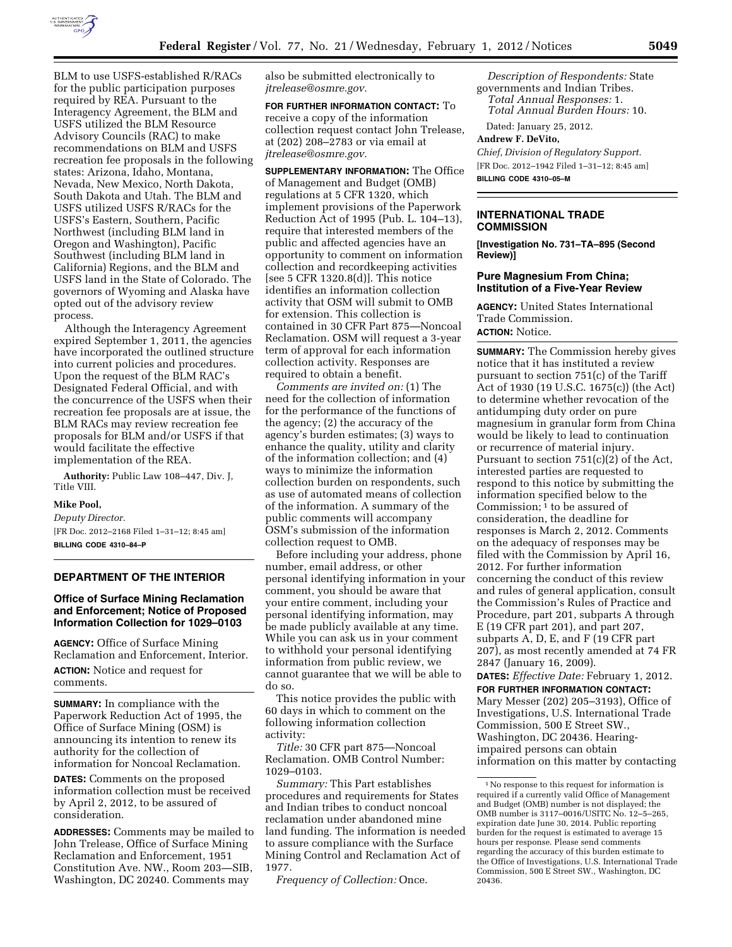

BLM to use USFS-established R/RACs for the public participation purposes required by REA. Pursuant to the Interagency Agreement, the BLM and USFS utilized the BLM Resource Advisory Councils (RAC) to make recommendations on BLM and USFS recreation fee proposals in the following states: Arizona, Idaho, Montana, Nevada, New Mexico, North Dakota, South Dakota and Utah. The BLM and USFS utilized USFS R/RACs for the USFS's Eastern, Southern, Pacific Northwest (including BLM land in Oregon and Washington), Pacific Southwest (including BLM land in California) Regions, and the BLM and USFS land in the State of Colorado. The governors of Wyoming and Alaska have opted out of the advisory review process.

Although the Interagency Agreement expired September 1, 2011, the agencies have incorporated the outlined structure into current policies and procedures. Upon the request of the BLM RAC's Designated Federal Official, and with the concurrence of the USFS when their recreation fee proposals are at issue, the BLM RACs may review recreation fee proposals for BLM and/or USFS if that would facilitate the effective implementation of the REA.

**Authority:** Public Law 108–447, Div. J, Title VIII.

# **Mike Pool,**

*Deputy Director.*  [FR Doc. 2012–2168 Filed 1–31–12; 8:45 am] **BILLING CODE 4310–84–P** 

# **DEPARTMENT OF THE INTERIOR**

# **Office of Surface Mining Reclamation and Enforcement; Notice of Proposed Information Collection for 1029–0103**

**AGENCY:** Office of Surface Mining Reclamation and Enforcement, Interior. **ACTION:** Notice and request for comments.

**SUMMARY:** In compliance with the Paperwork Reduction Act of 1995, the Office of Surface Mining (OSM) is announcing its intention to renew its authority for the collection of information for Noncoal Reclamation.

**DATES:** Comments on the proposed information collection must be received by April 2, 2012, to be assured of consideration.

**ADDRESSES:** Comments may be mailed to John Trelease, Office of Surface Mining Reclamation and Enforcement, 1951 Constitution Ave. NW., Room 203—SIB, Washington, DC 20240. Comments may

also be submitted electronically to *[jtrelease@osmre.gov.](mailto:jtrelease@osmre.gov)* 

**FOR FURTHER INFORMATION CONTACT:** To receive a copy of the information collection request contact John Trelease, at (202) 208–2783 or via email at *[jtrelease@osmre.gov.](mailto:jtrelease@osmre.gov)* 

**SUPPLEMENTARY INFORMATION:** The Office of Management and Budget (OMB) regulations at 5 CFR 1320, which implement provisions of the Paperwork Reduction Act of 1995 (Pub. L. 104–13), require that interested members of the public and affected agencies have an opportunity to comment on information collection and recordkeeping activities [see 5 CFR  $1320.8(d)$ ]. This notice identifies an information collection activity that OSM will submit to OMB for extension. This collection is contained in 30 CFR Part 875—Noncoal Reclamation. OSM will request a 3-year term of approval for each information collection activity. Responses are required to obtain a benefit.

*Comments are invited on:* (1) The need for the collection of information for the performance of the functions of the agency; (2) the accuracy of the agency's burden estimates; (3) ways to enhance the quality, utility and clarity of the information collection; and (4) ways to minimize the information collection burden on respondents, such as use of automated means of collection of the information. A summary of the public comments will accompany OSM's submission of the information collection request to OMB.

Before including your address, phone number, email address, or other personal identifying information in your comment, you should be aware that your entire comment, including your personal identifying information, may be made publicly available at any time. While you can ask us in your comment to withhold your personal identifying information from public review, we cannot guarantee that we will be able to do so.

This notice provides the public with 60 days in which to comment on the following information collection activity:

*Title:* 30 CFR part 875—Noncoal Reclamation. OMB Control Number: 1029–0103.

*Summary:* This Part establishes procedures and requirements for States and Indian tribes to conduct noncoal reclamation under abandoned mine land funding. The information is needed to assure compliance with the Surface Mining Control and Reclamation Act of 1977.

*Frequency of Collection:* Once.

*Description of Respondents:* State governments and Indian Tribes. *Total Annual Responses:* 1. *Total Annual Burden Hours:* 10.

Dated: January 25, 2012.

#### **Andrew F. DeVito,**

*Chief, Division of Regulatory Support.*  [FR Doc. 2012–1942 Filed 1–31–12; 8:45 am] **BILLING CODE 4310–05–M** 

# **INTERNATIONAL TRADE COMMISSION**

**[Investigation No. 731–TA–895 (Second Review)]** 

### **Pure Magnesium From China; Institution of a Five-Year Review**

**AGENCY:** United States International Trade Commission. **ACTION:** Notice.

**SUMMARY:** The Commission hereby gives notice that it has instituted a review pursuant to section 751(c) of the Tariff Act of 1930 (19 U.S.C. 1675(c)) (the Act) to determine whether revocation of the antidumping duty order on pure magnesium in granular form from China would be likely to lead to continuation or recurrence of material injury. Pursuant to section 751(c)(2) of the Act, interested parties are requested to respond to this notice by submitting the information specified below to the Commission; 1 to be assured of consideration, the deadline for responses is March 2, 2012. Comments on the adequacy of responses may be filed with the Commission by April 16, 2012. For further information concerning the conduct of this review and rules of general application, consult the Commission's Rules of Practice and Procedure, part 201, subparts A through E (19 CFR part 201), and part 207, subparts A, D, E, and F (19 CFR part 207), as most recently amended at 74 FR 2847 (January 16, 2009).

**DATES:** *Effective Date:* February 1, 2012. **FOR FURTHER INFORMATION CONTACT:**  Mary Messer (202) 205–3193), Office of Investigations, U.S. International Trade Commission, 500 E Street SW., Washington, DC 20436. Hearingimpaired persons can obtain information on this matter by contacting

<sup>1</sup>No response to this request for information is required if a currently valid Office of Management and Budget (OMB) number is not displayed; the OMB number is 3117–0016/USITC No. 12–5–265, expiration date June 30, 2014. Public reporting burden for the request is estimated to average 15 hours per response. Please send comments regarding the accuracy of this burden estimate to the Office of Investigations, U.S. International Trade Commission, 500 E Street SW., Washington, DC 20436.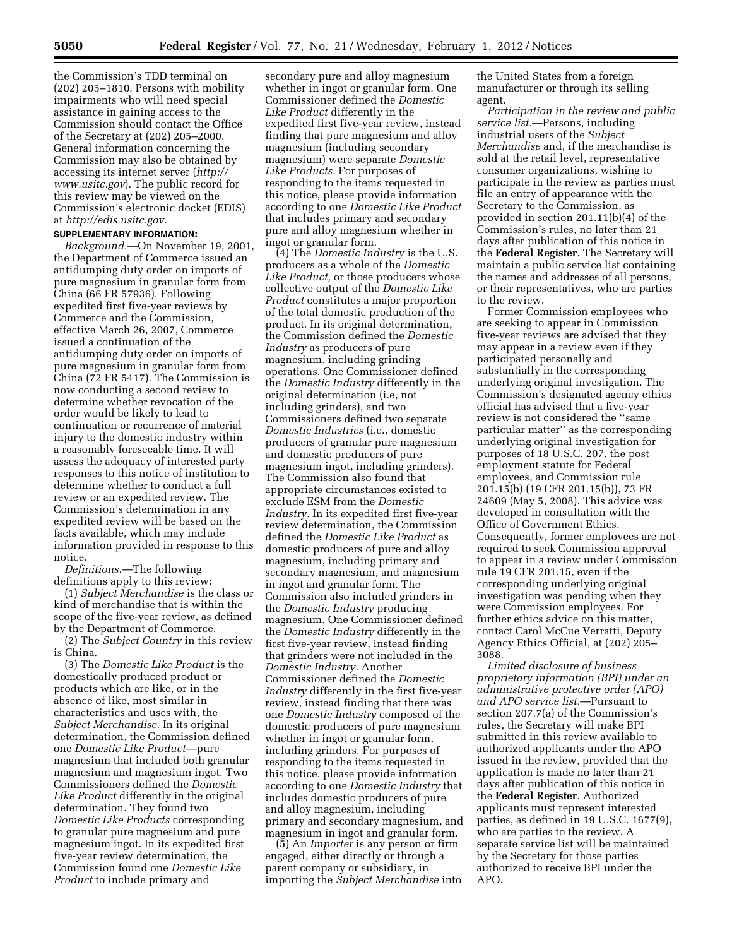the Commission's TDD terminal on (202) 205–1810. Persons with mobility impairments who will need special assistance in gaining access to the Commission should contact the Office of the Secretary at (202) 205–2000. General information concerning the Commission may also be obtained by accessing its internet server (*[http://](http://www.usitc.gov)  [www.usitc.gov](http://www.usitc.gov)*). The public record for this review may be viewed on the Commission's electronic docket (EDIS) at *[http://edis.usitc.gov.](http://edis.usitc.gov)* 

# **SUPPLEMENTARY INFORMATION:**

*Background.*—On November 19, 2001, the Department of Commerce issued an antidumping duty order on imports of pure magnesium in granular form from China (66 FR 57936). Following expedited first five-year reviews by Commerce and the Commission, effective March 26, 2007, Commerce issued a continuation of the antidumping duty order on imports of pure magnesium in granular form from China (72 FR 5417). The Commission is now conducting a second review to determine whether revocation of the order would be likely to lead to continuation or recurrence of material injury to the domestic industry within a reasonably foreseeable time. It will assess the adequacy of interested party responses to this notice of institution to determine whether to conduct a full review or an expedited review. The Commission's determination in any expedited review will be based on the facts available, which may include information provided in response to this notice.

*Definitions.*—The following definitions apply to this review:

(1) *Subject Merchandise* is the class or kind of merchandise that is within the scope of the five-year review, as defined by the Department of Commerce.

(2) The *Subject Country* in this review is China.

(3) The *Domestic Like Product* is the domestically produced product or products which are like, or in the absence of like, most similar in characteristics and uses with, the *Subject Merchandise.* In its original determination, the Commission defined one *Domestic Like Product*—pure magnesium that included both granular magnesium and magnesium ingot. Two Commissioners defined the *Domestic Like Product* differently in the original determination. They found two *Domestic Like Products* corresponding to granular pure magnesium and pure magnesium ingot. In its expedited first five-year review determination, the Commission found one *Domestic Like Product* to include primary and

secondary pure and alloy magnesium whether in ingot or granular form. One Commissioner defined the *Domestic Like Product* differently in the expedited first five-year review, instead finding that pure magnesium and alloy magnesium (including secondary magnesium) were separate *Domestic Like Products.* For purposes of responding to the items requested in this notice, please provide information according to one *Domestic Like Product*  that includes primary and secondary pure and alloy magnesium whether in ingot or granular form.

(4) The *Domestic Industry* is the U.S. producers as a whole of the *Domestic Like Product,* or those producers whose collective output of the *Domestic Like Product* constitutes a major proportion of the total domestic production of the product. In its original determination, the Commission defined the *Domestic Industry* as producers of pure magnesium, including grinding operations. One Commissioner defined the *Domestic Industry* differently in the original determination (i.e, not including grinders), and two Commissioners defined two separate *Domestic Industries* (i.e., domestic producers of granular pure magnesium and domestic producers of pure magnesium ingot, including grinders). The Commission also found that appropriate circumstances existed to exclude ESM from the *Domestic Industry.* In its expedited first five-year review determination, the Commission defined the *Domestic Like Product* as domestic producers of pure and alloy magnesium, including primary and secondary magnesium, and magnesium in ingot and granular form. The Commission also included grinders in the *Domestic Industry* producing magnesium. One Commissioner defined the *Domestic Industry* differently in the first five-year review, instead finding that grinders were not included in the *Domestic Industry.* Another Commissioner defined the *Domestic Industry* differently in the first five-year review, instead finding that there was one *Domestic Industry* composed of the domestic producers of pure magnesium whether in ingot or granular form, including grinders. For purposes of responding to the items requested in this notice, please provide information according to one *Domestic Industry* that includes domestic producers of pure and alloy magnesium, including primary and secondary magnesium, and magnesium in ingot and granular form.

(5) An *Importer* is any person or firm engaged, either directly or through a parent company or subsidiary, in importing the *Subject Merchandise* into the United States from a foreign manufacturer or through its selling agent.

*Participation in the review and public service list.*—Persons, including industrial users of the *Subject Merchandise* and, if the merchandise is sold at the retail level, representative consumer organizations, wishing to participate in the review as parties must file an entry of appearance with the Secretary to the Commission, as provided in section 201.11(b)(4) of the Commission's rules, no later than 21 days after publication of this notice in the **Federal Register**. The Secretary will maintain a public service list containing the names and addresses of all persons, or their representatives, who are parties to the review.

Former Commission employees who are seeking to appear in Commission five-year reviews are advised that they may appear in a review even if they participated personally and substantially in the corresponding underlying original investigation. The Commission's designated agency ethics official has advised that a five-year review is not considered the ''same particular matter'' as the corresponding underlying original investigation for purposes of 18 U.S.C. 207, the post employment statute for Federal employees, and Commission rule 201.15(b) (19 CFR 201.15(b)), 73 FR 24609 (May 5, 2008). This advice was developed in consultation with the Office of Government Ethics. Consequently, former employees are not required to seek Commission approval to appear in a review under Commission rule 19 CFR 201.15, even if the corresponding underlying original investigation was pending when they were Commission employees. For further ethics advice on this matter, contact Carol McCue Verratti, Deputy Agency Ethics Official, at (202) 205– 3088.

*Limited disclosure of business proprietary information (BPI) under an administrative protective order (APO) and APO service list.*—Pursuant to section 207.7(a) of the Commission's rules, the Secretary will make BPI submitted in this review available to authorized applicants under the APO issued in the review, provided that the application is made no later than 21 days after publication of this notice in the **Federal Register**. Authorized applicants must represent interested parties, as defined in 19 U.S.C. 1677(9), who are parties to the review. A separate service list will be maintained by the Secretary for those parties authorized to receive BPI under the APO.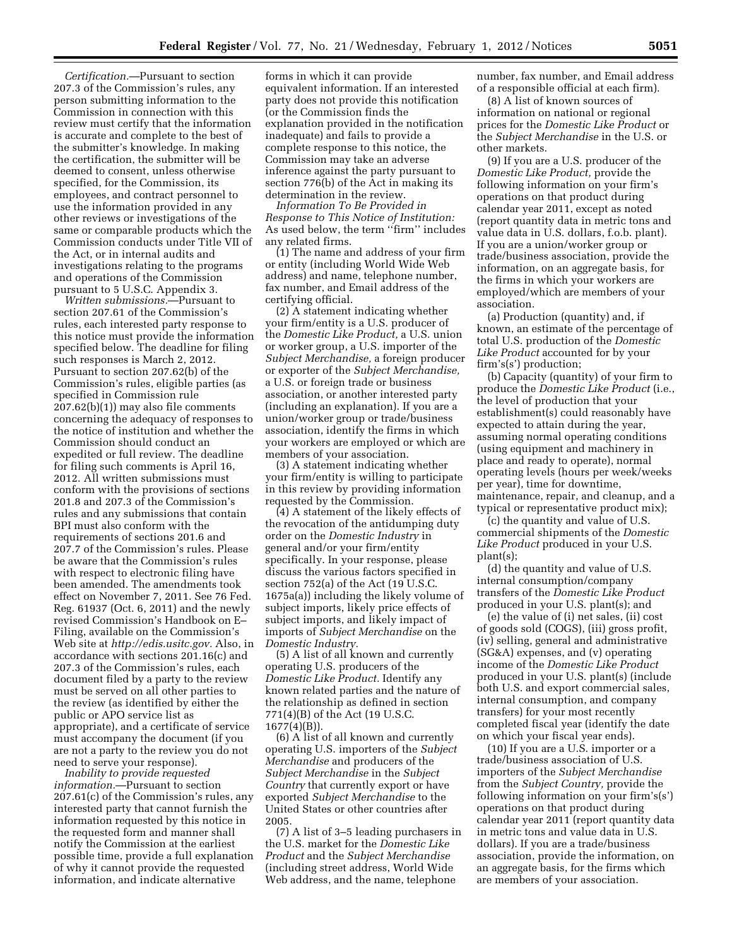*Certification.*—Pursuant to section 207.3 of the Commission's rules, any person submitting information to the Commission in connection with this review must certify that the information is accurate and complete to the best of the submitter's knowledge. In making the certification, the submitter will be deemed to consent, unless otherwise specified, for the Commission, its employees, and contract personnel to use the information provided in any other reviews or investigations of the same or comparable products which the Commission conducts under Title VII of the Act, or in internal audits and investigations relating to the programs and operations of the Commission pursuant to 5 U.S.C. Appendix 3.

*Written submissions.*—Pursuant to section 207.61 of the Commission's rules, each interested party response to this notice must provide the information specified below. The deadline for filing such responses is March 2, 2012. Pursuant to section 207.62(b) of the Commission's rules, eligible parties (as specified in Commission rule 207.62(b)(1)) may also file comments concerning the adequacy of responses to the notice of institution and whether the Commission should conduct an expedited or full review. The deadline for filing such comments is April 16, 2012. All written submissions must conform with the provisions of sections 201.8 and 207.3 of the Commission's rules and any submissions that contain BPI must also conform with the requirements of sections 201.6 and 207.7 of the Commission's rules. Please be aware that the Commission's rules with respect to electronic filing have been amended. The amendments took effect on November 7, 2011. See 76 Fed. Reg. 61937 (Oct. 6, 2011) and the newly revised Commission's Handbook on E– Filing, available on the Commission's Web site at *[http://edis.usitc.gov.](http://edis.usitc.gov)* Also, in accordance with sections 201.16(c) and 207.3 of the Commission's rules, each document filed by a party to the review must be served on all other parties to the review (as identified by either the public or APO service list as appropriate), and a certificate of service must accompany the document (if you are not a party to the review you do not need to serve your response).

*Inability to provide requested information.*—Pursuant to section 207.61(c) of the Commission's rules, any interested party that cannot furnish the information requested by this notice in the requested form and manner shall notify the Commission at the earliest possible time, provide a full explanation of why it cannot provide the requested information, and indicate alternative

forms in which it can provide equivalent information. If an interested party does not provide this notification (or the Commission finds the explanation provided in the notification inadequate) and fails to provide a complete response to this notice, the Commission may take an adverse inference against the party pursuant to section 776(b) of the Act in making its determination in the review.

*Information To Be Provided in Response to This Notice of Institution:*  As used below, the term ''firm'' includes any related firms.

(1) The name and address of your firm or entity (including World Wide Web address) and name, telephone number, fax number, and Email address of the certifying official.

(2) A statement indicating whether your firm/entity is a U.S. producer of the *Domestic Like Product,* a U.S. union or worker group, a U.S. importer of the *Subject Merchandise,* a foreign producer or exporter of the *Subject Merchandise,*  a U.S. or foreign trade or business association, or another interested party (including an explanation). If you are a union/worker group or trade/business association, identify the firms in which your workers are employed or which are members of your association.

(3) A statement indicating whether your firm/entity is willing to participate in this review by providing information requested by the Commission.

(4) A statement of the likely effects of the revocation of the antidumping duty order on the *Domestic Industry* in general and/or your firm/entity specifically. In your response, please discuss the various factors specified in section 752(a) of the Act (19 U.S.C. 1675a(a)) including the likely volume of subject imports, likely price effects of subject imports, and likely impact of imports of *Subject Merchandise* on the *Domestic Industry.* 

(5) A list of all known and currently operating U.S. producers of the *Domestic Like Product.* Identify any known related parties and the nature of the relationship as defined in section 771(4)(B) of the Act (19 U.S.C. 1677(4)(B)).

(6) A list of all known and currently operating U.S. importers of the *Subject Merchandise* and producers of the *Subject Merchandise* in the *Subject Country* that currently export or have exported *Subject Merchandise* to the United States or other countries after 2005.

(7) A list of 3–5 leading purchasers in the U.S. market for the *Domestic Like Product* and the *Subject Merchandise*  (including street address, World Wide Web address, and the name, telephone

number, fax number, and Email address of a responsible official at each firm).

(8) A list of known sources of information on national or regional prices for the *Domestic Like Product* or the *Subject Merchandise* in the U.S. or other markets.

(9) If you are a U.S. producer of the *Domestic Like Product,* provide the following information on your firm's operations on that product during calendar year 2011, except as noted (report quantity data in metric tons and value data in U.S. dollars, f.o.b. plant). If you are a union/worker group or trade/business association, provide the information, on an aggregate basis, for the firms in which your workers are employed/which are members of your association.

(a) Production (quantity) and, if known, an estimate of the percentage of total U.S. production of the *Domestic Like Product* accounted for by your firm's(s') production;

(b) Capacity (quantity) of your firm to produce the *Domestic Like Product* (i.e., the level of production that your establishment(s) could reasonably have expected to attain during the year, assuming normal operating conditions (using equipment and machinery in place and ready to operate), normal operating levels (hours per week/weeks per year), time for downtime, maintenance, repair, and cleanup, and a typical or representative product mix);

(c) the quantity and value of U.S. commercial shipments of the *Domestic Like Product* produced in your U.S. plant(s);

(d) the quantity and value of U.S. internal consumption/company transfers of the *Domestic Like Product*  produced in your U.S. plant(s); and

(e) the value of (i) net sales, (ii) cost of goods sold (COGS), (iii) gross profit, (iv) selling, general and administrative (SG&A) expenses, and (v) operating income of the *Domestic Like Product*  produced in your U.S. plant(s) (include both U.S. and export commercial sales, internal consumption, and company transfers) for your most recently completed fiscal year (identify the date on which your fiscal year ends).

(10) If you are a U.S. importer or a trade/business association of U.S. importers of the *Subject Merchandise*  from the *Subject Country,* provide the following information on your firm's(s') operations on that product during calendar year 2011 (report quantity data in metric tons and value data in U.S. dollars). If you are a trade/business association, provide the information, on an aggregate basis, for the firms which are members of your association.